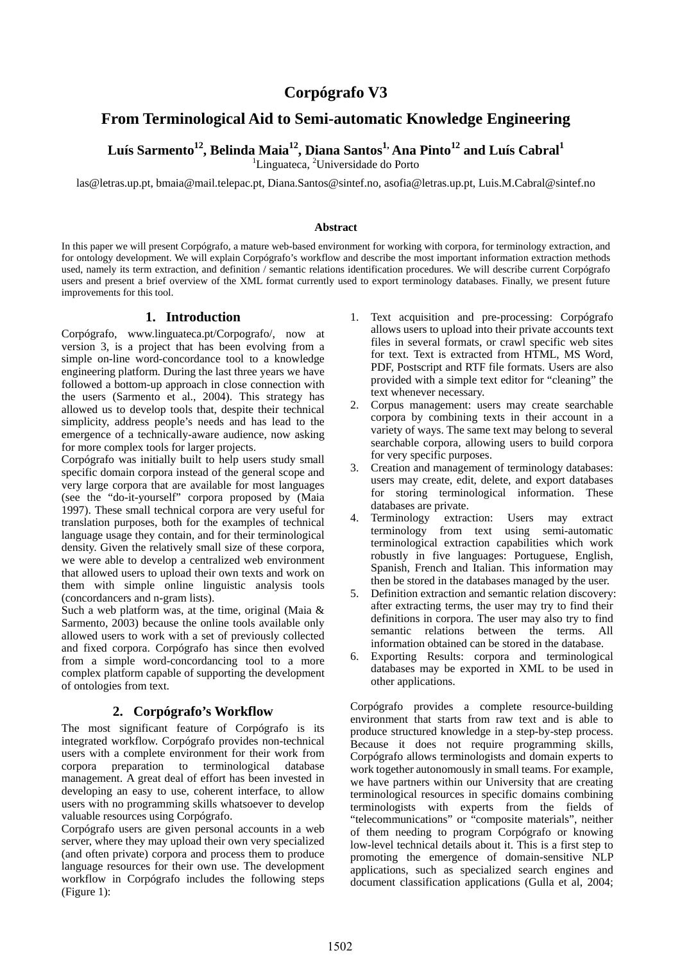# **Corpógrafo V3**

# **From Terminological Aid to Semi-automatic Knowledge Engineering**

Luís Sarmento<sup>12</sup>, Belinda Maia<sup>12</sup>, Diana Santos<sup>1,</sup> Ana Pinto<sup>12</sup> and Luís Cabral<sup>1</sup>

<sup>1</sup>Linguateca, <sup>2</sup>Universidade do Porto

las@letras.up.pt, bmaia@mail.telepac.pt, Diana.Santos@sintef.no, asofia@letras.up.pt, Luis.M.Cabral@sintef.no

#### **Abstract**

In this paper we will present Corpógrafo, a mature web-based environment for working with corpora, for terminology extraction, and for ontology development. We will explain Corpógrafo's workflow and describe the most important information extraction methods used, namely its term extraction, and definition / semantic relations identification procedures. We will describe current Corpógrafo users and present a brief overview of the XML format currently used to export terminology databases. Finally, we present future improvements for this tool.

### **1. Introduction**

Corpógrafo, www.linguateca.pt/Corpografo/, now at version 3, is a project that has been evolving from a simple on-line word-concordance tool to a knowledge engineering platform. During the last three years we have followed a bottom-up approach in close connection with the users (Sarmento et al., 2004). This strategy has allowed us to develop tools that, despite their technical simplicity, address people's needs and has lead to the emergence of a technically-aware audience, now asking for more complex tools for larger projects.

Corpógrafo was initially built to help users study small specific domain corpora instead of the general scope and very large corpora that are available for most languages (see the "do-it-yourself" corpora proposed by (Maia 1997). These small technical corpora are very useful for translation purposes, both for the examples of technical language usage they contain, and for their terminological density. Given the relatively small size of these corpora, we were able to develop a centralized web environment that allowed users to upload their own texts and work on them with simple online linguistic analysis tools (concordancers and n-gram lists).

Such a web platform was, at the time, original (Maia & Sarmento, 2003) because the online tools available only allowed users to work with a set of previously collected and fixed corpora. Corpógrafo has since then evolved from a simple word-concordancing tool to a more complex platform capable of supporting the development of ontologies from text.

### **2. Corpógrafo's Workflow**

The most significant feature of Corpógrafo is its integrated workflow. Corpógrafo provides non-technical users with a complete environment for their work from corpora preparation to terminological database management. A great deal of effort has been invested in developing an easy to use, coherent interface, to allow users with no programming skills whatsoever to develop valuable resources using Corpógrafo.

Corpógrafo users are given personal accounts in a web server, where they may upload their own very specialized (and often private) corpora and process them to produce language resources for their own use. The development workflow in Corpógrafo includes the following steps (Figure 1):

- 1. Text acquisition and pre-processing: Corpógrafo allows users to upload into their private accounts text files in several formats, or crawl specific web sites for text. Text is extracted from HTML, MS Word, PDF, Postscript and RTF file formats. Users are also provided with a simple text editor for "cleaning" the text whenever necessary.
- 2. Corpus management: users may create searchable corpora by combining texts in their account in a variety of ways. The same text may belong to several searchable corpora, allowing users to build corpora for very specific purposes.
- 3. Creation and management of terminology databases: users may create, edit, delete, and export databases for storing terminological information. These databases are private.<br>4. Terminology extraction
- extraction: Users may extract terminology from text using semi-automatic terminological extraction capabilities which work robustly in five languages: Portuguese, English, Spanish, French and Italian. This information may then be stored in the databases managed by the user.
- 5. Definition extraction and semantic relation discovery: after extracting terms, the user may try to find their definitions in corpora. The user may also try to find semantic relations between the terms. All information obtained can be stored in the database.
- 6. Exporting Results: corpora and terminological databases may be exported in XML to be used in other applications.

Corpógrafo provides a complete resource-building environment that starts from raw text and is able to produce structured knowledge in a step-by-step process. Because it does not require programming skills, Corpógrafo allows terminologists and domain experts to work together autonomously in small teams. For example, we have partners within our University that are creating terminological resources in specific domains combining terminologists with experts from the fields of "telecommunications" or "composite materials", neither of them needing to program Corpógrafo or knowing low-level technical details about it. This is a first step to promoting the emergence of domain-sensitive NLP applications, such as specialized search engines and document classification applications (Gulla et al, 2004;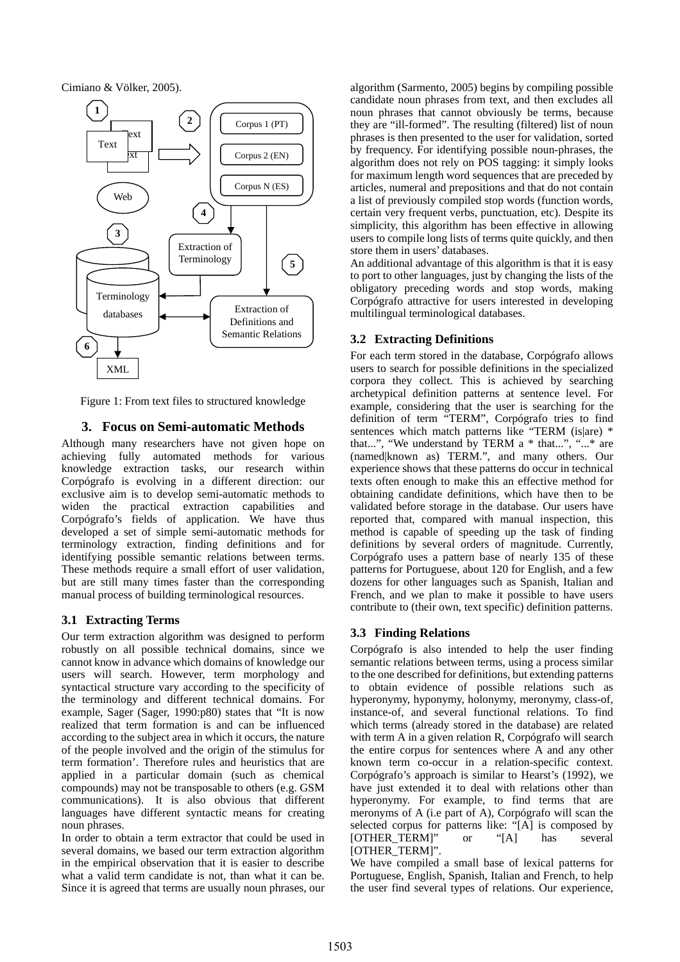Cimiano & Völker, 2005).



Figure 1: From text files to structured knowledge

### **3. Focus on Semi-automatic Methods**

Although many researchers have not given hope on achieving fully automated methods for various knowledge extraction tasks, our research within Corpógrafo is evolving in a different direction: our exclusive aim is to develop semi-automatic methods to widen the practical extraction capabilities and Corpógrafo's fields of application. We have thus developed a set of simple semi-automatic methods for terminology extraction, finding definitions and for identifying possible semantic relations between terms. These methods require a small effort of user validation, but are still many times faster than the corresponding manual process of building terminological resources.

### **3.1 Extracting Terms**

Our term extraction algorithm was designed to perform robustly on all possible technical domains, since we cannot know in advance which domains of knowledge our users will search. However, term morphology and syntactical structure vary according to the specificity of the terminology and different technical domains. For example, Sager (Sager, 1990:p80) states that "It is now realized that term formation is and can be influenced according to the subject area in which it occurs, the nature of the people involved and the origin of the stimulus for term formation'. Therefore rules and heuristics that are applied in a particular domain (such as chemical compounds) may not be transposable to others (e.g. GSM communications). It is also obvious that different languages have different syntactic means for creating noun phrases.

In order to obtain a term extractor that could be used in several domains, we based our term extraction algorithm in the empirical observation that it is easier to describe what a valid term candidate is not, than what it can be. Since it is agreed that terms are usually noun phrases, our algorithm (Sarmento, 2005) begins by compiling possible candidate noun phrases from text, and then excludes all noun phrases that cannot obviously be terms, because they are "ill-formed". The resulting (filtered) list of noun phrases is then presented to the user for validation, sorted by frequency. For identifying possible noun-phrases, the algorithm does not rely on POS tagging: it simply looks for maximum length word sequences that are preceded by articles, numeral and prepositions and that do not contain a list of previously compiled stop words (function words, certain very frequent verbs, punctuation, etc). Despite its simplicity, this algorithm has been effective in allowing users to compile long lists of terms quite quickly, and then store them in users' databases.

An additional advantage of this algorithm is that it is easy to port to other languages, just by changing the lists of the obligatory preceding words and stop words, making Corpógrafo attractive for users interested in developing multilingual terminological databases.

## **3.2 Extracting Definitions**

For each term stored in the database, Corpógrafo allows users to search for possible definitions in the specialized corpora they collect. This is achieved by searching archetypical definition patterns at sentence level. For example, considering that the user is searching for the definition of term "TERM", Corpógrafo tries to find sentences which match patterns like "TERM (is are) \* that...", "We understand by TERM a \* that...", "...\* are (named|known as) TERM.", and many others. Our experience shows that these patterns do occur in technical texts often enough to make this an effective method for obtaining candidate definitions, which have then to be validated before storage in the database. Our users have reported that, compared with manual inspection, this method is capable of speeding up the task of finding definitions by several orders of magnitude. Currently, Corpógrafo uses a pattern base of nearly 135 of these patterns for Portuguese, about 120 for English, and a few dozens for other languages such as Spanish, Italian and French, and we plan to make it possible to have users contribute to (their own, text specific) definition patterns.

## **3.3 Finding Relations**

Corpógrafo is also intended to help the user finding semantic relations between terms, using a process similar to the one described for definitions, but extending patterns to obtain evidence of possible relations such as hyperonymy, hyponymy, holonymy, meronymy, class-of, instance-of, and several functional relations. To find which terms (already stored in the database) are related with term A in a given relation R, Corpógrafo will search the entire corpus for sentences where A and any other known term co-occur in a relation-specific context. Corpógrafo's approach is similar to Hearst's (1992), we have just extended it to deal with relations other than hyperonymy. For example, to find terms that are meronyms of A (i.e part of A), Corpógrafo will scan the selected corpus for patterns like: "[A] is composed by [OTHER\_TERM]" or "[A] has several [OTHER\_TERM]".

We have compiled a small base of lexical patterns for Portuguese, English, Spanish, Italian and French, to help the user find several types of relations. Our experience,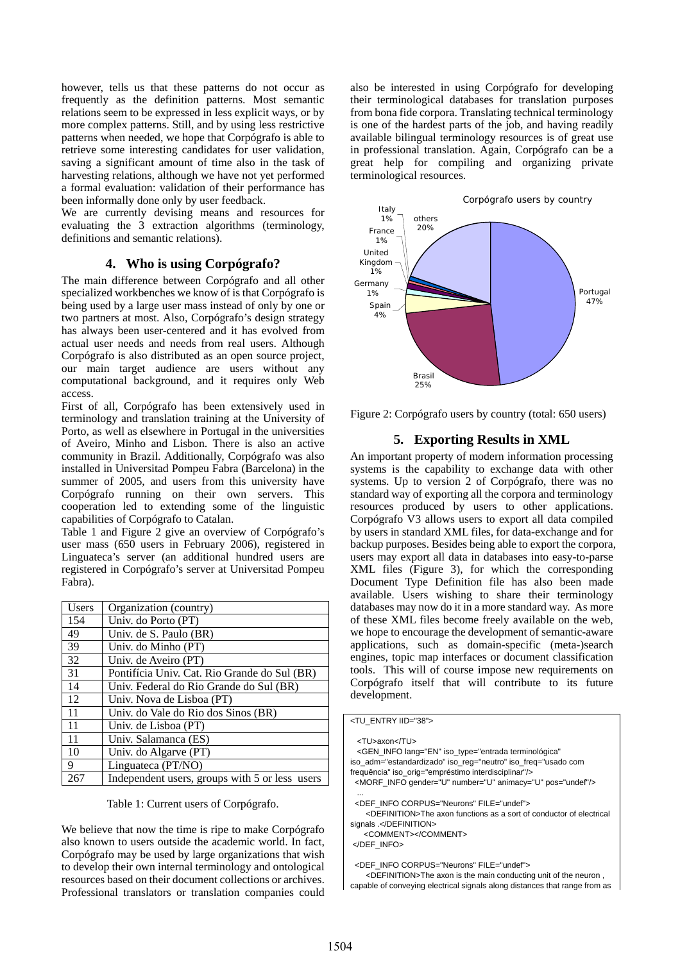however, tells us that these patterns do not occur as frequently as the definition patterns. Most semantic relations seem to be expressed in less explicit ways, or by more complex patterns. Still, and by using less restrictive patterns when needed, we hope that Corpógrafo is able to retrieve some interesting candidates for user validation, saving a significant amount of time also in the task of harvesting relations, although we have not yet performed a formal evaluation: validation of their performance has been informally done only by user feedback.

We are currently devising means and resources for evaluating the 3 extraction algorithms (terminology, definitions and semantic relations).

## **4. Who is using Corpógrafo?**

The main difference between Corpógrafo and all other specialized workbenches we know of is that Corpógrafo is being used by a large user mass instead of only by one or two partners at most. Also, Corpógrafo's design strategy has always been user-centered and it has evolved from actual user needs and needs from real users. Although Corpógrafo is also distributed as an open source project, our main target audience are users without any computational background, and it requires only Web access.

First of all, Corpógrafo has been extensively used in terminology and translation training at the University of Porto, as well as elsewhere in Portugal in the universities of Aveiro, Minho and Lisbon. There is also an active community in Brazil. Additionally, Corpógrafo was also installed in Universitad Pompeu Fabra (Barcelona) in the summer of 2005, and users from this university have Corpógrafo running on their own servers. This cooperation led to extending some of the linguistic capabilities of Corpógrafo to Catalan.

Table 1 and Figure 2 give an overview of Corpógrafo's user mass (650 users in February 2006), registered in Linguateca's server (an additional hundred users are registered in Corpógrafo's server at Universitad Pompeu Fabra).

| Users | Organization (country)                         |
|-------|------------------------------------------------|
| 154   | Univ. do Porto (PT)                            |
| 49    | Univ. de S. Paulo (BR)                         |
| 39    | Univ. do Minho (PT)                            |
| 32    | Univ. de Aveiro (PT)                           |
| 31    | Pontifícia Univ. Cat. Rio Grande do Sul (BR)   |
| 14    | Univ. Federal do Rio Grande do Sul (BR)        |
| 12    | Univ. Nova de Lisboa (PT)                      |
| 11    | Univ. do Vale do Rio dos Sinos (BR)            |
| 11    | Univ. de Lisboa (PT)                           |
| 11    | Univ. Salamanca (ES)                           |
| 10    | Univ. do Algarve (PT)                          |
| 9     | Linguateca (PT/NO)                             |
| 267   | Independent users, groups with 5 or less users |

Table 1: Current users of Corpógrafo.

We believe that now the time is ripe to make Corpógrafo also known to users outside the academic world. In fact, Corpógrafo may be used by large organizations that wish to develop their own internal terminology and ontological resources based on their document collections or archives. Professional translators or translation companies could

also be interested in using Corpógrafo for developing their terminological databases for translation purposes from bona fide corpora. Translating technical terminology is one of the hardest parts of the job, and having readily available bilingual terminology resources is of great use in professional translation. Again, Corpógrafo can be a great help for compiling and organizing private terminological resources.



Figure 2: Corpógrafo users by country (total: 650 users)

#### **5. Exporting Results in XML**

An important property of modern information processing systems is the capability to exchange data with other systems. Up to version 2 of Corpógrafo, there was no standard way of exporting all the corpora and terminology resources produced by users to other applications. Corpógrafo V3 allows users to export all data compiled by users in standard XML files, for data-exchange and for backup purposes. Besides being able to export the corpora, users may export all data in databases into easy-to-parse XML files (Figure 3), for which the corresponding Document Type Definition file has also been made available. Users wishing to share their terminology databases may now do it in a more standard way. As more of these XML files become freely available on the web, we hope to encourage the development of semantic-aware applications, such as domain-specific (meta-)search engines, topic map interfaces or document classification tools. This will of course impose new requirements on Corpógrafo itself that will contribute to its future development.

| <tu entry="" iid="38"></tu>                                                      |
|----------------------------------------------------------------------------------|
|                                                                                  |
| <tu>axon</tu>                                                                    |
| <gen <="" info="" iso="" lang="EN" th="" type="entrada terminológica"></gen>     |
| iso adm="estandardizado" iso reg="neutro" iso freg="usado com                    |
| frequência" iso_orig="empréstimo interdisciplinar"/>                             |
| <morf animacy="U" gender="U" info="" number="U" pos="undef"></morf>              |
|                                                                                  |
| <def corpus="Neurons" file="undef" info=""></def>                                |
| <definition>The axon functions as a sort of conductor of electrical</definition> |
| signals .                                                                        |
| <comment></comment>                                                              |
|                                                                                  |
|                                                                                  |
| <def corpus="Neurons" file="undef" info=""></def>                                |
| -DEEINITION- The even is the main conducting unit of the nouron                  |

 <DEFINITION>The axon is the main conducting unit of the neuron , capable of conveying electrical signals along distances that range from as